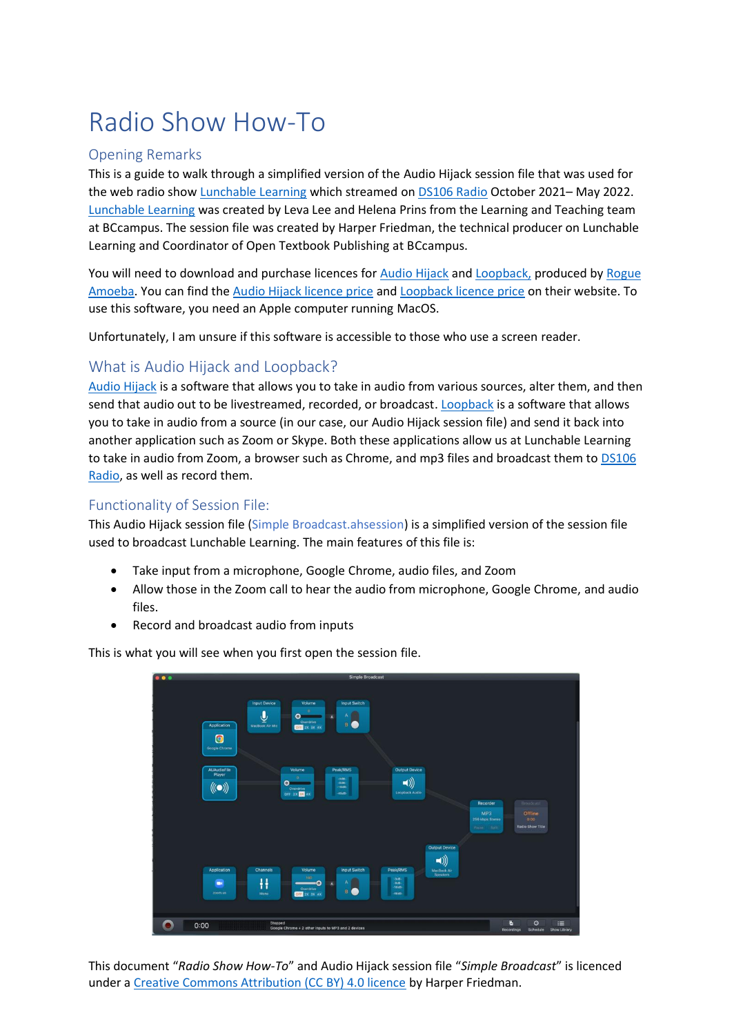# Radio Show How-To

## Opening Remarks

This is a guide to walk through a simplified version of the Audio Hijack session file that was used for the web radio show [Lunchable Learning](https://lunchablelearning.opened.ca/) which streamed on [DS106 Radio](https://ds106.us/) October 2021– May 2022. [Lunchable Learning](https://lunchablelearning.opened.ca/) was created by Leva Lee and Helena Prins from the Learning and Teaching team at BCcampus. The session file was created by Harper Friedman, the technical producer on Lunchable Learning and Coordinator of Open Textbook Publishing at BCcampus.

You will need to download and purchase licences for [Audio Hijack](https://rogueamoeba.com/audiohijack/) and [Loopback,](https://rogueamoeba.com/loopback/) produced by [Rogue](https://rogueamoeba.com/)  [Amoeba.](https://rogueamoeba.com/) You can find th[e Audio Hijack licence price](https://rogueamoeba.com/audiohijack/buy.php) an[d Loopback licence price](https://rogueamoeba.com/loopback/buy.php) on their website. To use this software, you need an Apple computer running MacOS.

Unfortunately, I am unsure if this software is accessible to those who use a screen reader.

# What is Audio Hijack and Loopback?

[Audio Hijack](https://rogueamoeba.com/audiohijack/) is a software that allows you to take in audio from various sources, alter them, and then send that audio out to be livestreamed, recorded, or broadcast. [Loopback](https://rogueamoeba.com/loopback/) is a software that allows you to take in audio from a source (in our case, our Audio Hijack session file) and send it back into another application such as Zoom or Skype. Both these applications allow us at Lunchable Learning to take in audio from Zoom, a browser such as Chrome, and mp3 files and broadcast them to DS106 [Radio,](https://ds106.us/) as well as record them.

## Functionality of Session File:

This Audio Hijack session file (Simple Broadcast.ahsession) is a simplified version of the session file used to broadcast Lunchable Learning. The main features of this file is:

- Take input from a microphone, Google Chrome, audio files, and Zoom
- Allow those in the Zoom call to hear the audio from microphone, Google Chrome, and audio files.
- Record and broadcast audio from inputs

This is what you will see when you first open the session file.

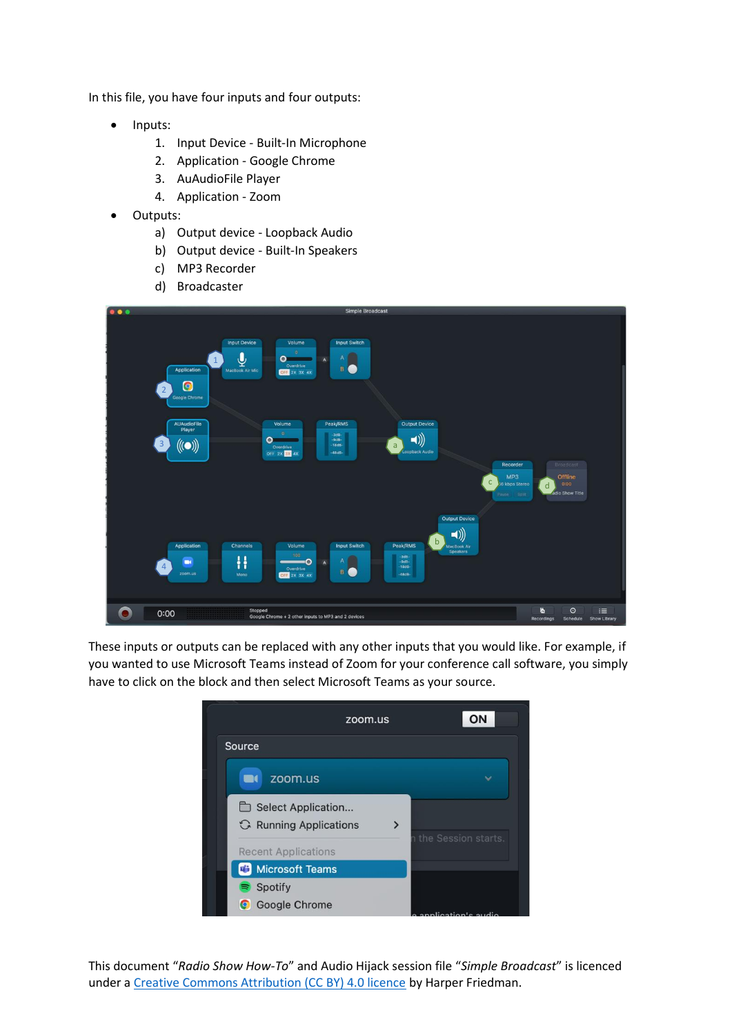In this file, you have four inputs and four outputs:

- Inputs:
	- 1. Input Device Built-In Microphone
	- 2. Application Google Chrome
	- 3. AuAudioFile Player
	- 4. Application Zoom
- Outputs:
	- a) Output device Loopback Audio
	- b) Output device Built-In Speakers
	- c) MP3 Recorder
	- d) Broadcaster



These inputs or outputs can be replaced with any other inputs that you would like. For example, if you wanted to use Microsoft Teams instead of Zoom for your conference call software, you simply have to click on the block and then select Microsoft Teams as your source.

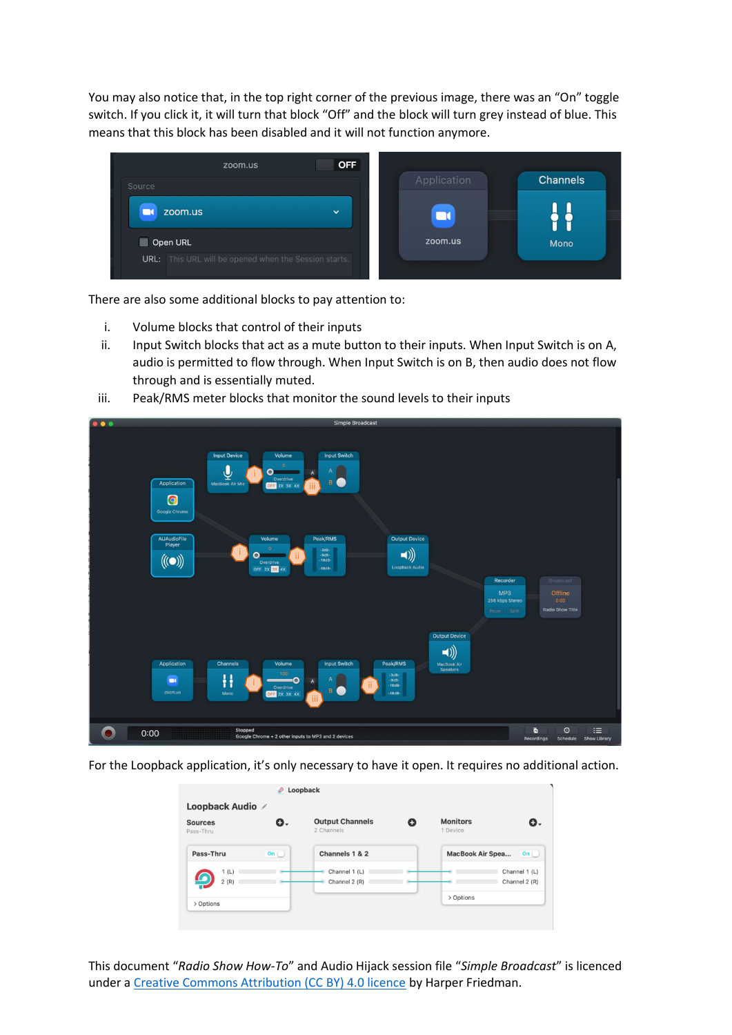You may also notice that, in the top right corner of the previous image, there was an "On" toggle switch. If you click it, it will turn that block "Off" and the block will turn grey instead of blue. This means that this block has been disabled and it will not function anymore.

| zoom.us                                                      | <b>OFF</b>   |             |                 |
|--------------------------------------------------------------|--------------|-------------|-----------------|
| Source                                                       |              | Application | <b>Channels</b> |
| zoom.us<br>ΓT                                                | $\checkmark$ | n           |                 |
| Open URL<br>٠                                                |              | zoom.us     | Mono            |
| <b>URL:</b> This URL will be opened when the Session starts. |              |             |                 |

There are also some additional blocks to pay attention to:

- i. Volume blocks that control of their inputs
- ii. Input Switch blocks that act as a mute button to their inputs. When Input Switch is on A, audio is permitted to flow through. When Input Switch is on B, then audio does not flow through and is essentially muted.
- iii. Peak/RMS meter blocks that monitor the sound levels to their inputs



For the Loopback application, it's only necessary to have it open. It requires no additional action.

|                             | ₽         | Loopback                             |   |                             |                                |
|-----------------------------|-----------|--------------------------------------|---|-----------------------------|--------------------------------|
| Loopback Audio /            |           |                                      |   |                             |                                |
| <b>Sources</b><br>Pass-Thru | 0.        | <b>Output Channels</b><br>2 Channels | Ω | <b>Monitors</b><br>1 Device | 0.                             |
| Pass-Thru                   | On $\Box$ | Channels 1 & 2                       |   | MacBook Air Spea            | On $\left($                    |
| 1(L)<br>9<br>2(R)           |           | Channel 1 (L)<br>Channel 2 (R)       |   |                             | Channel 1 (L)<br>Channel 2 (R) |
| > Options                   |           |                                      |   | > Options                   |                                |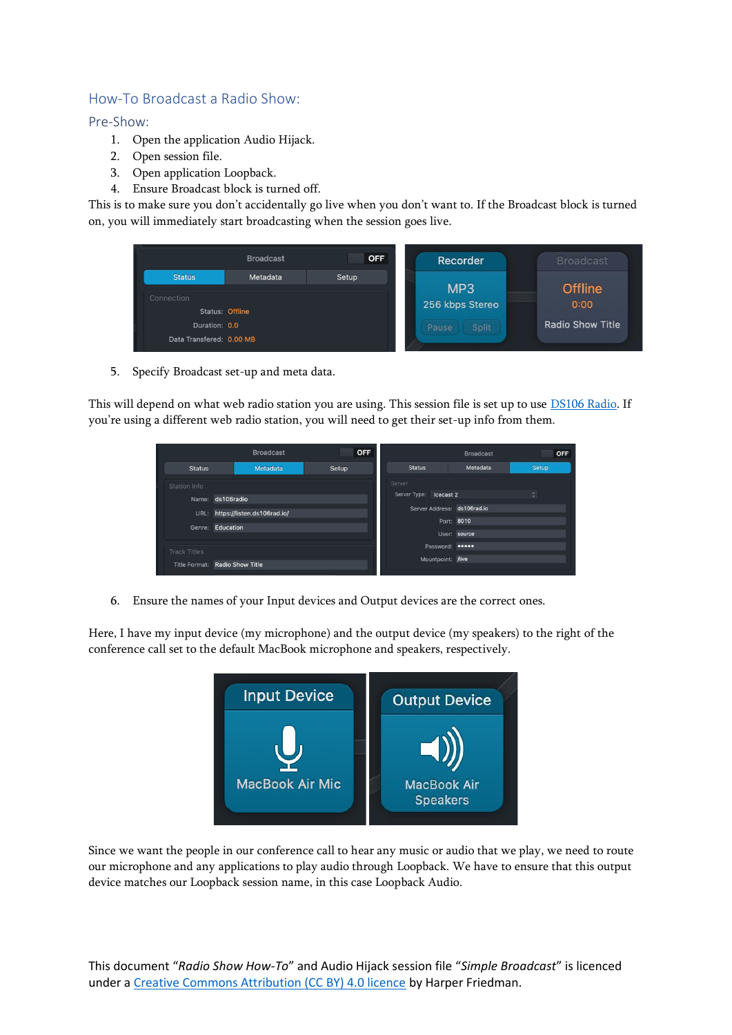## How-To Broadcast a Radio Show:

#### Pre-Show:

- 1. Open the application Audio Hijack.
- 2. Open session file.
- 3. Open application Loopback.
- 4. Ensure Broadcast block is turned off.

This is to make sure you don't accidentally go live when you don't want to. If the Broadcast block is turned on, you will immediately start broadcasting when the session goes live.



5. Specify Broadcast set-up and meta data.

This will depend on what web radio station you are using. This session file is set up to use **DS106 Radio**. If you're using a different web radio station, you will need to get their set-up info from them.



6. Ensure the names of your Input devices and Output devices are the correct ones.

Here, I have my input device (my microphone) and the output device (my speakers) to the right of the conference call set to the default MacBook microphone and speakers, respectively.



Since we want the people in our conference call to hear any music or audio that we play, we need to route our microphone and any applications to play audio through Loopback. We have to ensure that this output device matches our Loopback session name, in this case Loopback Audio.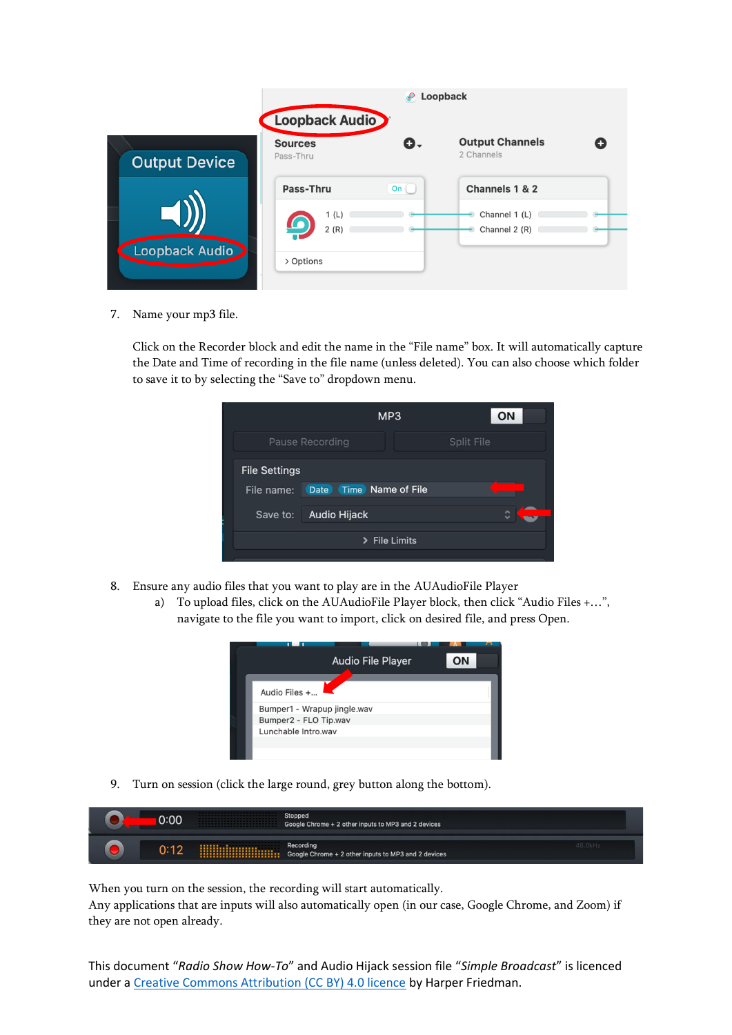|                      |                             | சி          | Loopback                             |   |
|----------------------|-----------------------------|-------------|--------------------------------------|---|
|                      | Loopback Audio              |             |                                      |   |
| <b>Output Device</b> | <b>Sources</b><br>Pass-Thru | О.          | <b>Output Channels</b><br>2 Channels | c |
|                      | Pass-Thru                   | On $\left($ | Channels 1 & 2                       |   |
|                      | 1(L)<br>2(R)                |             | Channel 1 (L)<br>Channel 2 (R)       |   |
| Loopback Audio       | > Options                   |             |                                      |   |

7. Name your mp3 file.

Click on the Recorder block and edit the name in the "File name" box. It will automatically capture the Date and Time of recording in the file name (unless deleted). You can also choose which folder to save it to by selecting the "Save to" dropdown menu.

|                      |                     | MP <sub>3</sub>   |            | ON |
|----------------------|---------------------|-------------------|------------|----|
|                      | Pause Recording     |                   | Split File |    |
| <b>File Settings</b> |                     |                   |            |    |
| File name:           | <b>Date</b>         | Time Name of File |            |    |
| Save to:             | <b>Audio Hijack</b> |                   |            | ◠  |
|                      |                     | > File Limits     |            |    |

- 8. Ensure any audio files that you want to play are in the AUAudioFile Player
	- a) To upload files, click on the AUAudioFile Player block, then click "Audio Files +…", navigate to the file you want to import, click on desired file, and press Open.



9. Turn on session (click the large round, grey button along the bottom).

| 0:00 | ------------ | Stopped<br>Google Chrome + 2 other inputs to MP3 and 2 devices   |        |
|------|--------------|------------------------------------------------------------------|--------|
|      |              | Recording<br>Google Chrome + 2 other inputs to MP3 and 2 devices | 48.0kH |

When you turn on the session, the recording will start automatically.

Any applications that are inputs will also automatically open (in our case, Google Chrome, and Zoom) if they are not open already.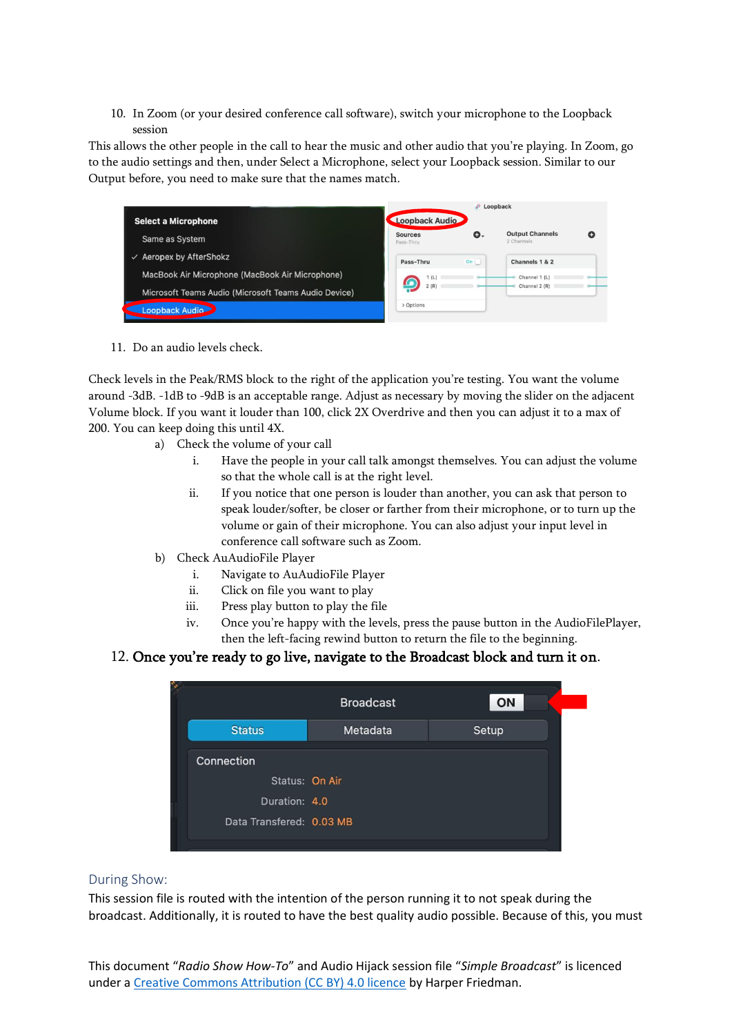10. In Zoom (or your desired conference call software), switch your microphone to the Loopback session

This allows the other people in the call to hear the music and other audio that you're playing. In Zoom, go to the audio settings and then, under Select a Microphone, select your Loopback session. Similar to our Output before, you need to make sure that the names match.

|                                                      |                             | <b>P</b> Loopback |                                      |   |
|------------------------------------------------------|-----------------------------|-------------------|--------------------------------------|---|
| <b>Select a Microphone</b>                           | Loopback Audio              |                   |                                      |   |
| Same as System                                       | <b>Sources</b><br>Pass-Thru | 0.                | <b>Output Channels</b><br>2 Channels | o |
| Aeropex by AfterShokz<br>✓                           | Pass-Thru                   | $On$ $\Box$       | Channels 1 & 2                       |   |
| MacBook Air Microphone (MacBook Air Microphone)      | 1(L)                        |                   | Channel 1 (L)                        |   |
| Microsoft Teams Audio (Microsoft Teams Audio Device) | G<br>2(R)                   |                   | Channel 2 (R)                        |   |
| Loopback Audio                                       | > Options                   |                   |                                      |   |

11. Do an audio levels check.

Check levels in the Peak/RMS block to the right of the application you're testing. You want the volume around -3dB. -1dB to -9dB is an acceptable range. Adjust as necessary by moving the slider on the adjacent Volume block. If you want it louder than 100, click 2X Overdrive and then you can adjust it to a max of 200. You can keep doing this until 4X.

- a) Check the volume of your call
	- i. Have the people in your call talk amongst themselves. You can adjust the volume so that the whole call is at the right level.
	- ii. If you notice that one person is louder than another, you can ask that person to speak louder/softer, be closer or farther from their microphone, or to turn up the volume or gain of their microphone. You can also adjust your input level in conference call software such as Zoom.
- b) Check AuAudioFile Player
	- i. Navigate to AuAudioFile Player
	- ii. Click on file you want to play
	- iii. Press play button to play the file
	- iv. Once you're happy with the levels, press the pause button in the AudioFilePlayer, then the left-facing rewind button to return the file to the beginning.

### 12. Once you're ready to go live, navigate to the Broadcast block and turn it on.



#### During Show:

This session file is routed with the intention of the person running it to not speak during the broadcast. Additionally, it is routed to have the best quality audio possible. Because of this, you must